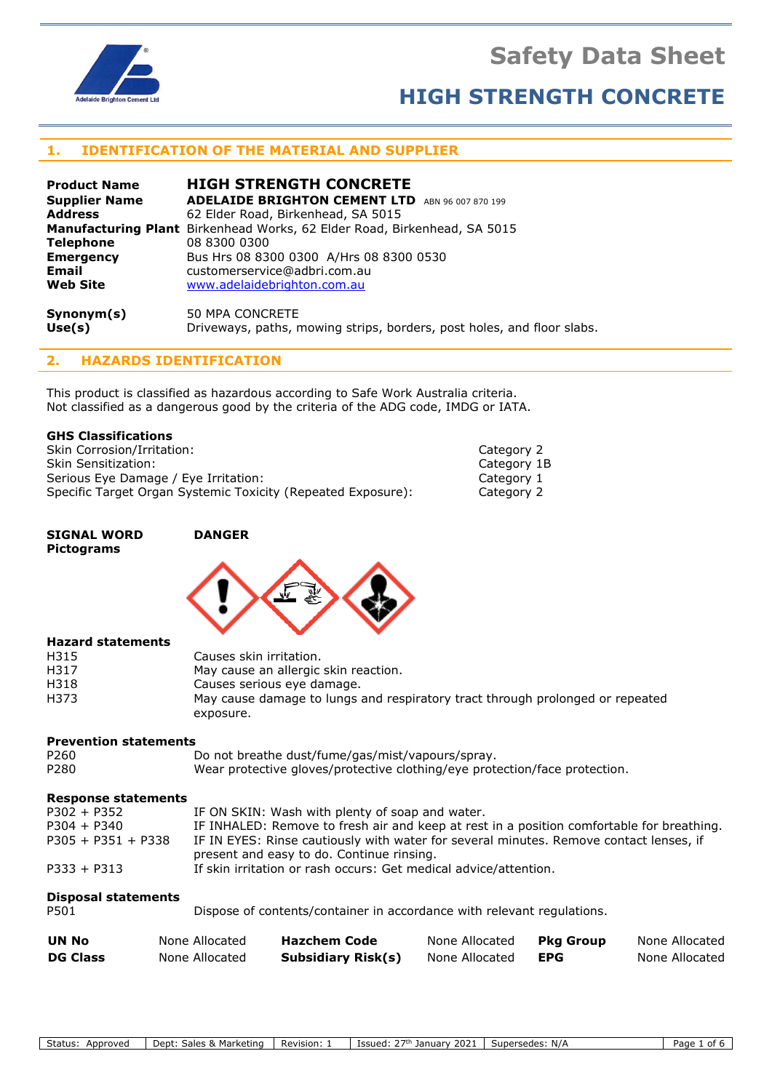# **Safety Data Sheet**



# **HIGH STRENGTH CONCRETE**

## **1. IDENTIFICATION OF THE MATERIAL AND SUPPLIER**

| <b>Product Name</b>  | <b>HIGH STRENGTH CONCRETE</b>                                                   |
|----------------------|---------------------------------------------------------------------------------|
| <b>Supplier Name</b> | <b>ADELAIDE BRIGHTON CEMENT LTD</b> ABN 96 007 870 199                          |
| <b>Address</b>       | 62 Elder Road, Birkenhead, SA 5015                                              |
|                      | <b>Manufacturing Plant</b> Birkenhead Works, 62 Elder Road, Birkenhead, SA 5015 |
| <b>Telephone</b>     | 08 8300 0300                                                                    |
| <b>Emergency</b>     | Bus Hrs 08 8300 0300 A/Hrs 08 8300 0530                                         |
| <b>Email</b>         | customerservice@adbri.com.au                                                    |
| <b>Web Site</b>      | www.adelaidebrighton.com.au                                                     |
| Synonym(s)           | 50 MPA CONCRETE                                                                 |

**Use(s)** Driveways, paths, mowing strips, borders, post holes, and floor slabs.

# **2. HAZARDS IDENTIFICATION**

This product is classified as hazardous according to Safe Work Australia criteria. Not classified as a dangerous good by the criteria of the ADG code, IMDG or IATA.

#### **GHS Classifications**

Skin Corrosion/Irritation: Category 2 Skin Sensitization: Category 1B Serious Eye Damage / Eye Irritation: Category 1 Specific Target Organ Systemic Toxicity (Repeated Exposure): Category 2

#### **SIGNAL WORD DANGER Pictograms**



#### **Hazard statements**

| H315 | Causes skin irritation.                                                       |
|------|-------------------------------------------------------------------------------|
| H317 | May cause an allergic skin reaction.                                          |
| H318 | Causes serious eye damage.                                                    |
| H373 | May cause damage to lungs and respiratory tract through prolonged or repeated |
|      | exposure.                                                                     |

#### **Prevention statements**

| P <sub>260</sub> | Do not breathe dust/fume/gas/mist/vapours/spray.                           |
|------------------|----------------------------------------------------------------------------|
| P280             | Wear protective gloves/protective clothing/eye protection/face protection. |

#### **Response statements**

| $P302 + P352$        | IF ON SKIN: Wash with plenty of soap and water.                                           |
|----------------------|-------------------------------------------------------------------------------------------|
| $P304 + P340$        | IF INHALED: Remove to fresh air and keep at rest in a position comfortable for breathing. |
| $P305 + P351 + P338$ | IF IN EYES: Rinse cautiously with water for several minutes. Remove contact lenses, if    |
|                      | present and easy to do. Continue rinsing.                                                 |
| $P333 + P313$        | If skin irritation or rash occurs: Get medical advice/attention.                          |

### **Disposal statements**

P501 Dispose of contents/container in accordance with relevant regulations.

| <b>UN No</b>    | None Allocated | <b>Hazchem Code</b>       | None Allocated | Pka Group | None Allocated |
|-----------------|----------------|---------------------------|----------------|-----------|----------------|
| <b>DG Class</b> | None Allocated | <b>Subsidiary Risk(s)</b> | None Allocated | EPG       | None Allocated |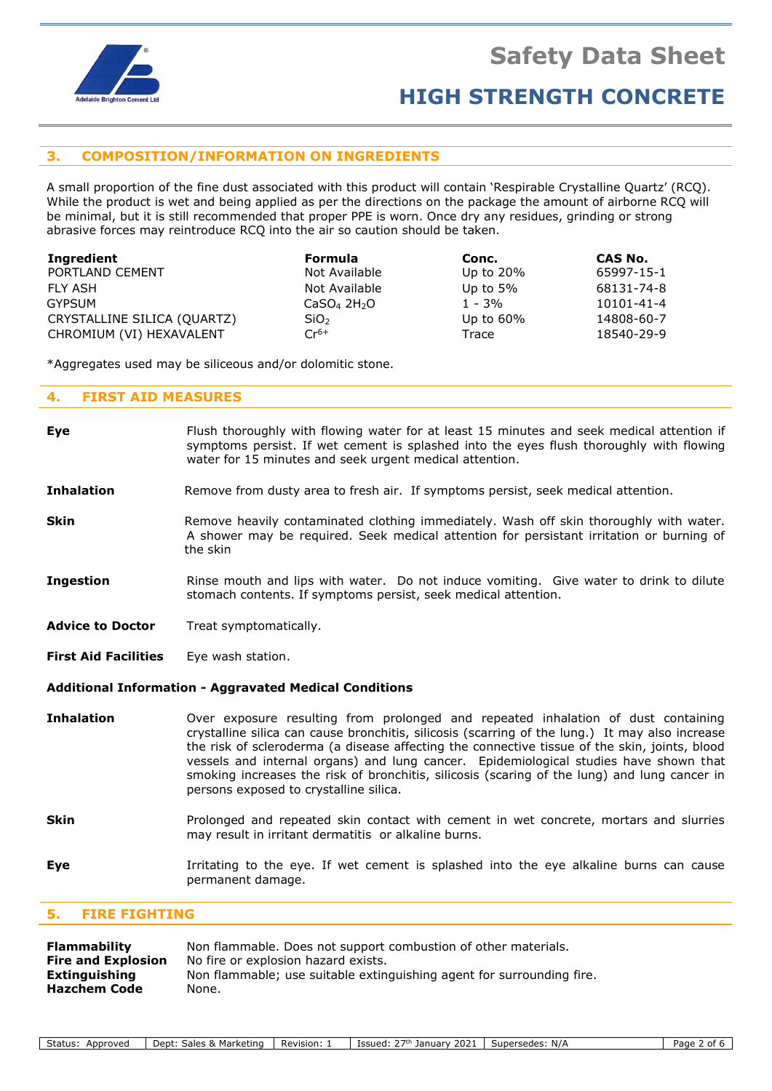

## **3. COMPOSITION/INFORMATION ON INGREDIENTS**

A small proportion of the fine dust associated with this product will contain 'Respirable Crystalline Quartz' (RCQ). While the product is wet and being applied as per the directions on the package the amount of airborne RCQ will be minimal, but it is still recommended that proper PPE is worn. Once dry any residues, grinding or strong abrasive forces may reintroduce RCQ into the air so caution should be taken.

| Ingredient                  | <b>Formula</b>                      | Conc.        | CAS No.    |
|-----------------------------|-------------------------------------|--------------|------------|
| PORTLAND CEMENT             | Not Available                       | Up to $20\%$ | 65997-15-1 |
| FLY ASH                     | Not Available                       | Up to $5\%$  | 68131-74-8 |
| GYPSUM                      | CaSO <sub>4</sub> 2H <sub>2</sub> O | $1 - 3%$     | 10101-41-4 |
| CRYSTALLINE SILICA (QUARTZ) | SiO <sub>2</sub>                    | Up to $60\%$ | 14808-60-7 |
| CHROMIUM (VI) HEXAVALENT    | $Cr^{6+}$                           | Trace        | 18540-29-9 |

\*Aggregates used may be siliceous and/or dolomitic stone.

#### **4. FIRST AID MEASURES**

| <b>Eye</b>                  | Irritating to the eye. If wet cement is splashed into the eye alkaline burns can cause<br>permanent damage.                                                                                                                                                                                                                                                                                                                                                                                                              |  |
|-----------------------------|--------------------------------------------------------------------------------------------------------------------------------------------------------------------------------------------------------------------------------------------------------------------------------------------------------------------------------------------------------------------------------------------------------------------------------------------------------------------------------------------------------------------------|--|
| Skin                        | Prolonged and repeated skin contact with cement in wet concrete, mortars and slurries<br>may result in irritant dermatitis or alkaline burns.                                                                                                                                                                                                                                                                                                                                                                            |  |
| <b>Inhalation</b>           | Over exposure resulting from prolonged and repeated inhalation of dust containing<br>crystalline silica can cause bronchitis, silicosis (scarring of the lung.) It may also increase<br>the risk of scleroderma (a disease affecting the connective tissue of the skin, joints, blood<br>vessels and internal organs) and lung cancer. Epidemiological studies have shown that<br>smoking increases the risk of bronchitis, silicosis (scaring of the lung) and lung cancer in<br>persons exposed to crystalline silica. |  |
|                             | <b>Additional Information - Aggravated Medical Conditions</b>                                                                                                                                                                                                                                                                                                                                                                                                                                                            |  |
| <b>First Aid Facilities</b> | Eye wash station.                                                                                                                                                                                                                                                                                                                                                                                                                                                                                                        |  |
| <b>Advice to Doctor</b>     | Treat symptomatically.                                                                                                                                                                                                                                                                                                                                                                                                                                                                                                   |  |
| <b>Ingestion</b>            | Rinse mouth and lips with water. Do not induce vomiting. Give water to drink to dilute<br>stomach contents. If symptoms persist, seek medical attention.                                                                                                                                                                                                                                                                                                                                                                 |  |
| <b>Skin</b>                 | Remove heavily contaminated clothing immediately. Wash off skin thoroughly with water.<br>A shower may be required. Seek medical attention for persistant irritation or burning of<br>the skin                                                                                                                                                                                                                                                                                                                           |  |
| <b>Inhalation</b>           | Remove from dusty area to fresh air. If symptoms persist, seek medical attention.                                                                                                                                                                                                                                                                                                                                                                                                                                        |  |
| <b>Eye</b>                  | Flush thoroughly with flowing water for at least 15 minutes and seek medical attention if<br>symptoms persist. If wet cement is splashed into the eyes flush thoroughly with flowing<br>water for 15 minutes and seek urgent medical attention.                                                                                                                                                                                                                                                                          |  |

### **5. FIRE FIGHTING**

| <b>Flammability</b>       | Non flammable. Does not support combustion of other materials.        |  |  |
|---------------------------|-----------------------------------------------------------------------|--|--|
| <b>Fire and Explosion</b> | No fire or explosion hazard exists.                                   |  |  |
| Extinguishing             | Non flammable; use suitable extinguishing agent for surrounding fire. |  |  |
| <b>Hazchem Code</b>       | None.                                                                 |  |  |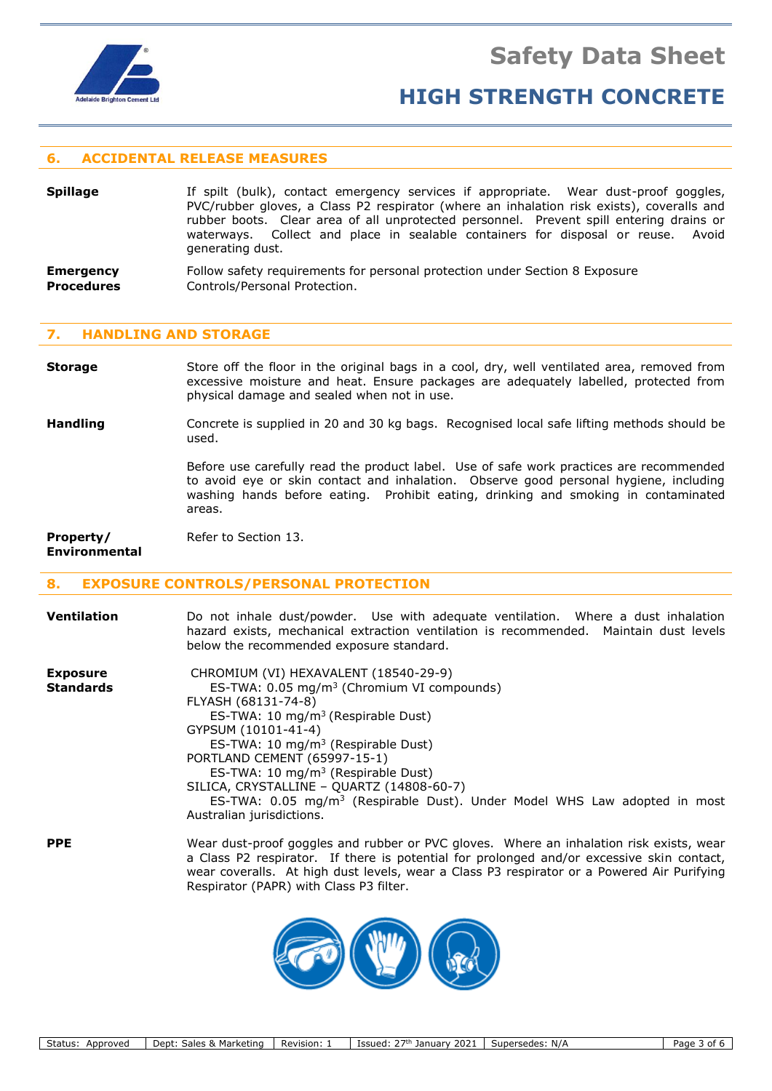

### **6. ACCIDENTAL RELEASE MEASURES**

- **Spillage** If spilt (bulk), contact emergency services if appropriate. Wear dust-proof goggles, PVC/rubber gloves, a Class P2 respirator (where an inhalation risk exists), coveralls and rubber boots. Clear area of all unprotected personnel. Prevent spill entering drains or waterways. Collect and place in sealable containers for disposal or reuse. Avoid generating dust.
- **Emergency** Follow safety requirements for personal protection under Section 8 Exposure **Procedures Controls/Personal Protection.**

#### **7. HANDLING AND STORAGE**

**Storage** Store off the floor in the original bags in a cool, dry, well ventilated area, removed from excessive moisture and heat. Ensure packages are adequately labelled, protected from physical damage and sealed when not in use.

**Handling** Concrete is supplied in 20 and 30 kg bags. Recognised local safe lifting methods should be used.

> Before use carefully read the product label. Use of safe work practices are recommended to avoid eye or skin contact and inhalation. Observe good personal hygiene, including washing hands before eating. Prohibit eating, drinking and smoking in contaminated areas.

> wear coveralls. At high dust levels, wear a Class P3 respirator or a Powered Air Purifying

**Property/** Refer to Section 13. **Environmental**

#### **8. EXPOSURE CONTROLS/PERSONAL PROTECTION**

| <b>Ventilation</b>                 | Do not inhale dust/powder. Use with adequate ventilation. Where a dust inhalation     |
|------------------------------------|---------------------------------------------------------------------------------------|
|                                    | hazard exists, mechanical extraction ventilation is recommended. Maintain dust levels |
|                                    | below the recommended exposure standard.                                              |
| Expanding and the second services. | $CIDOMIUM INI NIT VIVAVI IN TUT V10F10 20 01$                                         |

| <b>LAPUSULE</b>  | CHROPILOPE(VI) HEARVALLIVE (10040-23-3)                                                   |
|------------------|-------------------------------------------------------------------------------------------|
| <b>Standards</b> | ES-TWA: 0.05 mg/m <sup>3</sup> (Chromium VI compounds)                                    |
|                  | FLYASH (68131-74-8)                                                                       |
|                  | ES-TWA: 10 mg/m <sup>3</sup> (Respirable Dust)                                            |
|                  | GYPSUM (10101-41-4)                                                                       |
|                  | ES-TWA: 10 $mq/m3$ (Respirable Dust)                                                      |
|                  | PORTLAND CEMENT (65997-15-1)                                                              |
|                  | ES-TWA: 10 mg/m <sup>3</sup> (Respirable Dust)                                            |
|                  | SILICA, CRYSTALLINE - QUARTZ (14808-60-7)                                                 |
|                  | ES-TWA: 0.05 mg/m <sup>3</sup> (Respirable Dust). Under Model WHS Law adopted in most     |
|                  | Australian jurisdictions.                                                                 |
| <b>PPE</b>       | Wear dust-proof goggles and rubber or PVC gloves. Where an inhalation risk exists, wear   |
|                  | a Class P2 respirator. If there is potential for prolonged and/or excessive skin contact, |



Respirator (PAPR) with Class P3 filter.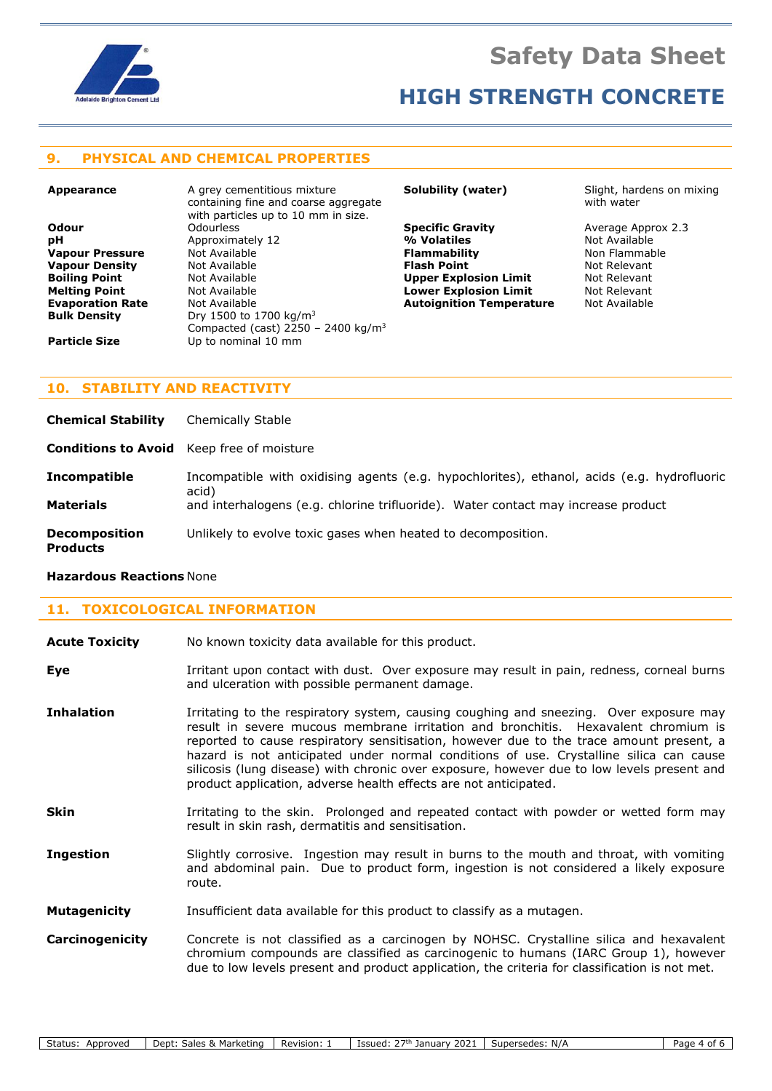

### **9. PHYSICAL AND CHEMICAL PROPERTIES**

**Appearance A grey cementitious mixture** containing fine and coarse aggregate with particles up to 10 mm in size. **Odour** Odourless **Specific Gravity** Average Approx 2.3 **pH** Approximately 12 **% Volatiles** Not Available **Vapour Pressure** Mot Available **Flammability All Express Server Available Vapour Pressure Flammat Non Flammat No<br><b>Vapour Density** Mot Available **Flash Point** Flammat Not Relevant **Vapour Density Not Available <b>Flash Point Flash Point** Mot Relevant **Boiling Point Not Relevant Boiling Point Not Relevant Boiling Point Mot Available 19 (A) Upper Explosion Limit** 1997 Mot Relevant **Not Available 1997** (Not Relevant Mot Available 1997) Mot Relevant **Melting Point** 1997 (Not Available 1997) (Not Relevant 1997) Mot Relevan **Melting Point Mot Available <b>Lower Explosion Limit** Mot Relevant **Explosion Limit Not Relevant Evaporation Rate** Not Available **Evaporation Rate** Available **Bulk Density** Dry 1500 to 1700 kg/m<sup>3</sup> Compacted (cast) 2250 - 2400 kg/m<sup>3</sup> **Particle Size** Up to nominal 10 mm

**Autoignition Temperature** 

**Solubility (water)** Slight, hardens on mixing with water

### **10. STABILITY AND REACTIVITY**

| <b>Chemical Stability</b>               | Chemically Stable                                                                                   |
|-----------------------------------------|-----------------------------------------------------------------------------------------------------|
|                                         | <b>Conditions to Avoid</b> Keep free of moisture                                                    |
| <b>Incompatible</b>                     | Incompatible with oxidising agents (e.g. hypochlorites), ethanol, acids (e.g. hydrofluoric<br>acid) |
| <b>Materials</b>                        | and interhalogens (e.g. chlorine trifluoride). Water contact may increase product                   |
| <b>Decomposition</b><br><b>Products</b> | Unlikely to evolve toxic gases when heated to decomposition.                                        |

#### **Hazardous Reactions** None

### **11. TOXICOLOGICAL INFORMATION**

| <b>Acute Toxicity</b> | No known toxicity data available for this product.                                                                                                                                                                                                                                                                                                                                                                                                                                                                                  |
|-----------------------|-------------------------------------------------------------------------------------------------------------------------------------------------------------------------------------------------------------------------------------------------------------------------------------------------------------------------------------------------------------------------------------------------------------------------------------------------------------------------------------------------------------------------------------|
| Eye                   | Irritant upon contact with dust. Over exposure may result in pain, redness, corneal burns<br>and ulceration with possible permanent damage.                                                                                                                                                                                                                                                                                                                                                                                         |
| <b>Inhalation</b>     | Irritating to the respiratory system, causing coughing and sneezing. Over exposure may<br>result in severe mucous membrane irritation and bronchitis. Hexavalent chromium is<br>reported to cause respiratory sensitisation, however due to the trace amount present, a<br>hazard is not anticipated under normal conditions of use. Crystalline silica can cause<br>silicosis (lung disease) with chronic over exposure, however due to low levels present and<br>product application, adverse health effects are not anticipated. |
| <b>Skin</b>           | Irritating to the skin. Prolonged and repeated contact with powder or wetted form may<br>result in skin rash, dermatitis and sensitisation.                                                                                                                                                                                                                                                                                                                                                                                         |
| <b>Ingestion</b>      | Slightly corrosive. Ingestion may result in burns to the mouth and throat, with vomiting<br>and abdominal pain. Due to product form, ingestion is not considered a likely exposure<br>route.                                                                                                                                                                                                                                                                                                                                        |
| <b>Mutagenicity</b>   | Insufficient data available for this product to classify as a mutagen.                                                                                                                                                                                                                                                                                                                                                                                                                                                              |
| Carcinogenicity       | Concrete is not classified as a carcinogen by NOHSC. Crystalline silica and hexavalent<br>chromium compounds are classified as carcinogenic to humans (IARC Group 1), however<br>due to low levels present and product application, the criteria for classification is not met.                                                                                                                                                                                                                                                     |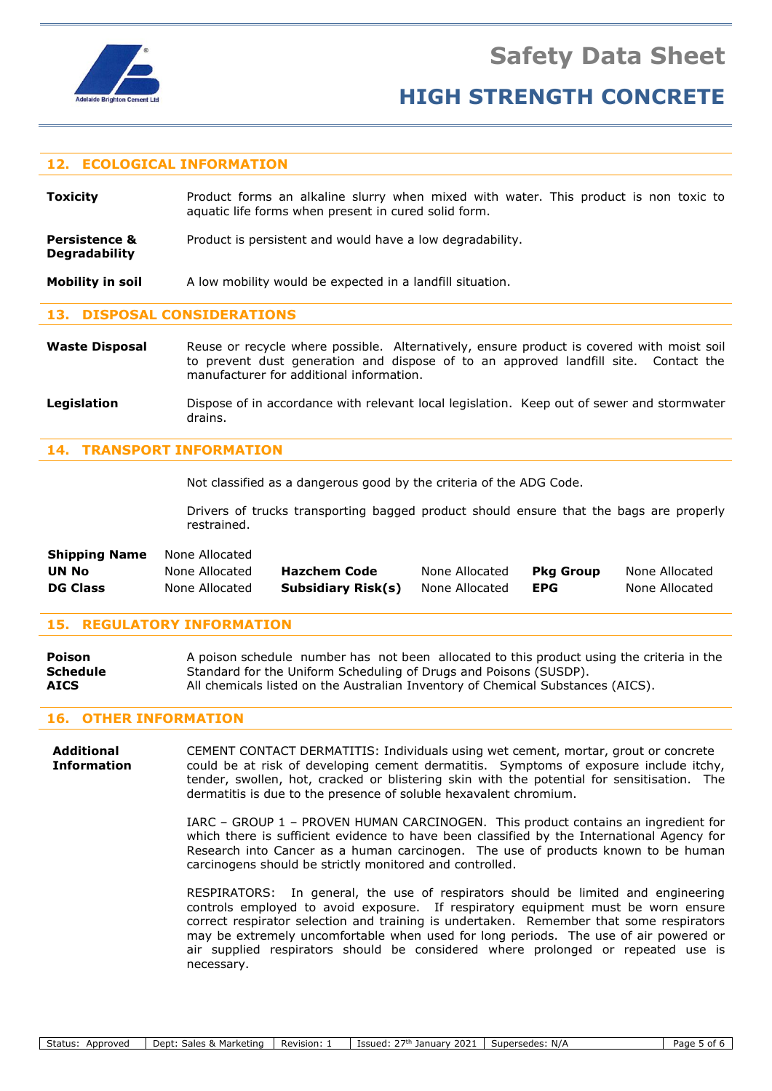

**Degradability**

# **HIGH STRENGTH CONCRETE**

#### **12. ECOLOGICAL INFORMATION**

**Toxicity Product forms an alkaline slurry when mixed with water. This product is non toxic to** aquatic life forms when present in cured solid form.

**Persistence &** Product is persistent and would have a low degradability.

**Mobility in soil** A low mobility would be expected in a landfill situation.

### **13. DISPOSAL CONSIDERATIONS**

- Waste Disposal Reuse or recycle where possible. Alternatively, ensure product is covered with moist soil to prevent dust generation and dispose of to an approved landfill site. Contact the manufacturer for additional information.
- Legislation **Dispose of in accordance with relevant local legislation.** Keep out of sewer and stormwater drains.

### **14. TRANSPORT INFORMATION**

Not classified as a dangerous good by the criteria of the ADG Code.

Drivers of trucks transporting bagged product should ensure that the bags are properly restrained.

| <b>Shipping Name</b> | None Allocated |                     |                |            |                |
|----------------------|----------------|---------------------|----------------|------------|----------------|
| UN No                | None Allocated | <b>Hazchem Code</b> | None Allocated | Pka Group  | None Allocated |
| <b>DG Class</b>      | None Allocated | Subsidiary Risk(s)  | None Allocated | <b>EPG</b> | None Allocated |

#### **15. REGULATORY INFORMATION**

| <b>Poison</b>   | A poison schedule number has not been allocated to this product using the criteria in the |
|-----------------|-------------------------------------------------------------------------------------------|
| <b>Schedule</b> | Standard for the Uniform Scheduling of Drugs and Poisons (SUSDP).                         |
| <b>AICS</b>     | All chemicals listed on the Australian Inventory of Chemical Substances (AICS).           |

#### **16. OTHER INFORMATION**

**Additional** CEMENT CONTACT DERMATITIS: Individuals using wet cement, mortar, grout or concrete **Information** could be at risk of developing cement dermatitis. Symptoms of exposure include itchy, tender, swollen, hot, cracked or blistering skin with the potential for sensitisation. The dermatitis is due to the presence of soluble hexavalent chromium.

> IARC – GROUP 1 – PROVEN HUMAN CARCINOGEN. This product contains an ingredient for which there is sufficient evidence to have been classified by the International Agency for Research into Cancer as a human carcinogen. The use of products known to be human carcinogens should be strictly monitored and controlled.

> RESPIRATORS: In general, the use of respirators should be limited and engineering controls employed to avoid exposure. If respiratory equipment must be worn ensure correct respirator selection and training is undertaken. Remember that some respirators may be extremely uncomfortable when used for long periods. The use of air powered or air supplied respirators should be considered where prolonged or repeated use is necessary.